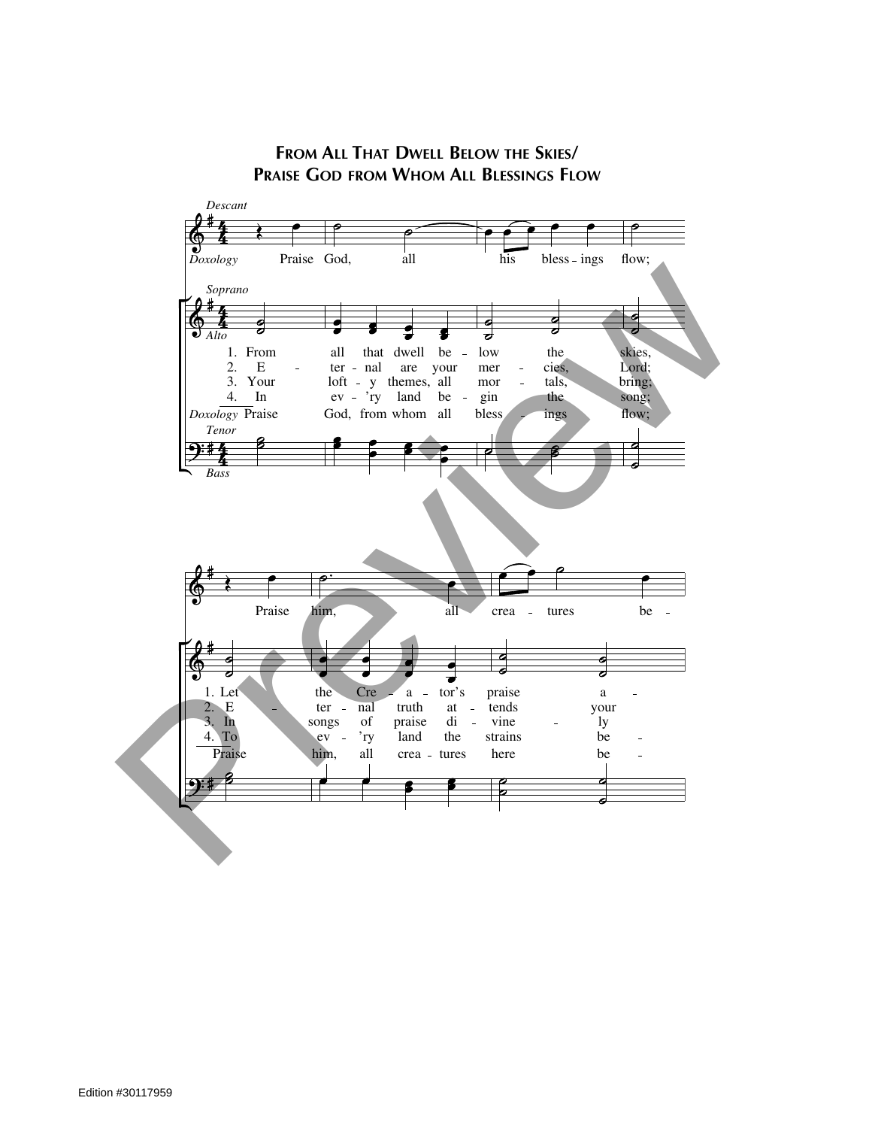

**FROM ALL THAT DWELL BELOW THE SKIES/ PRAISE GOD FROM WHOM ALL BLESSINGS FLOW**